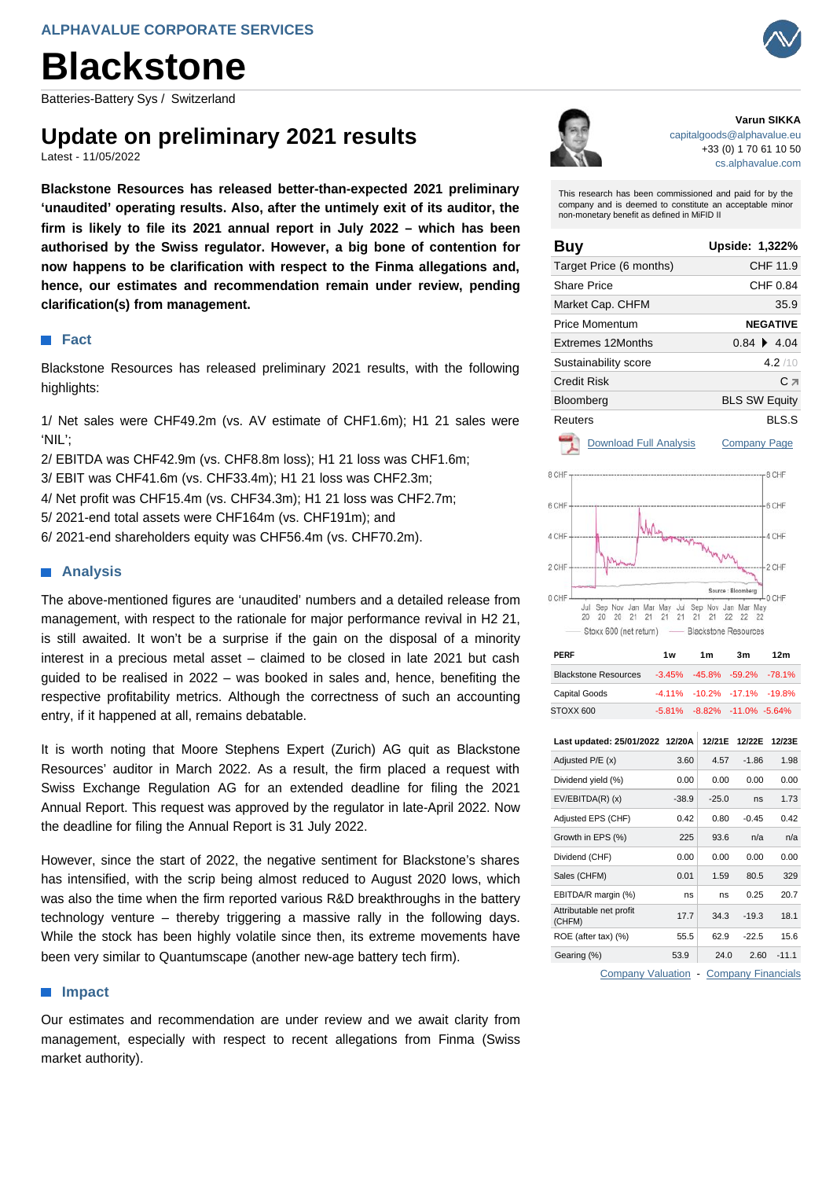# **Blackstone**

Batteries-Battery Sys / Switzerland

## **Update on preliminary 2021 results**

Latest - 11/05/2022

**Blackstone Resources has released better-than-expected 2021 preliminary 'unaudited' operating results. Also, after the untimely exit of its auditor, the firm is likely to file its 2021 annual report in July 2022 – which has been authorised by the Swiss regulator. However, a big bone of contention for now happens to be clarification with respect to the Finma allegations and, hence, our estimates and recommendation remain under review, pending clarification(s) from management.**

### **Fact**

Blackstone Resources has released preliminary 2021 results, with the following highlights:

1/ Net sales were CHF49.2m (vs. AV estimate of CHF1.6m); H1 21 sales were 'NIL';

- 2/ EBITDA was CHF42.9m (vs. CHF8.8m loss); H1 21 loss was CHF1.6m;
- 3/ EBIT was CHF41.6m (vs. CHF33.4m); H1 21 loss was CHF2.3m;
- 4/ Net profit was CHF15.4m (vs. CHF34.3m); H1 21 loss was CHF2.7m;
- 5/ 2021-end total assets were CHF164m (vs. CHF191m); and
- 6/ 2021-end shareholders equity was CHF56.4m (vs. CHF70.2m).

#### **Analysis**

The above-mentioned figures are 'unaudited' numbers and a detailed release from management, with respect to the rationale for major performance revival in H2 21, is still awaited. It won't be a surprise if the gain on the disposal of a minority interest in a precious metal asset – claimed to be closed in late 2021 but cash guided to be realised in 2022 – was booked in sales and, hence, benefiting the respective profitability metrics. Although the correctness of such an accounting entry, if it happened at all, remains debatable.

It is worth noting that Moore Stephens Expert (Zurich) AG quit as Blackstone Resources' auditor in March 2022. As a result, the firm placed a request with Swiss Exchange Regulation AG for an extended deadline for filing the 2021 Annual Report. This request was approved by the regulator in late-April 2022. Now the deadline for filing the Annual Report is 31 July 2022.

However, since the start of 2022, the negative sentiment for Blackstone's shares has intensified, with the scrip being almost reduced to August 2020 lows, which was also the time when the firm reported various R&D breakthroughs in the battery technology venture – thereby triggering a massive rally in the following days. While the stock has been highly volatile since then, its extreme movements have been very similar to Quantumscape (another new-age battery tech firm).

#### **Impact**

Our estimates and recommendation are under review and we await clarity from management, especially with respect to recent allegations from Finma (Swiss market authority).



#### **Varun SIKKA**  [capitalgoods@alphavalue.eu](mailto:capitalgoods@alphavalue.eu) +33 (0) 1 70 61 10 50 [cs.alphavalue.com](https://corporate.alphavalue.com/)

This research has been commissioned and paid for by the company and is deemed to constitute an acceptable minor non-monetary benefit as defined in MiFID II

| Buy                      | Upside: 1,322%       |
|--------------------------|----------------------|
| Target Price (6 months)  | CHF 11.9             |
| Share Price              | CHF 0.84             |
| Market Cap. CHFM         | 35.9                 |
| Price Momentum           | <b>NEGATIVE</b>      |
| <b>Extremes 12Months</b> | $0.84 \div 4.04$     |
| Sustainability score     | 4.2/10               |
| Credit Risk              | Сл                   |
| Bloomberg                | <b>BLS SW Equity</b> |
| Reuters                  | BLS.S                |
|                          |                      |

[Download Full Analysis](https://corporate.alphavalue.com/Secure/Handlers/LongPdfHandler/b2195fa1-9307-ea11-80f8-00155d062808/Blackstone_Resources.pdf?Source=PDF Latest) [Company Page](https://corporate.alphavalue.com/Secure/Company/Company.aspx?Id=b2195fa1-9307-ea11-80f8-00155d062808&Page=InANutShell&Source=PDF Latest)



| PERF                                             | 1w | 1m                          | 3m | 12m |
|--------------------------------------------------|----|-----------------------------|----|-----|
| Blackstone Resources -3.45% -45.8% -59.2% -78.1% |    |                             |    |     |
| <b>Capital Goods</b>                             |    | -4.11% -10.2% -17.1% -19.8% |    |     |
| STOXX 600                                        |    | -5.81% -8.82% -11.0% -5.64% |    |     |

| Last updated: 25/01/2022 12/20A                  |         | 12/21E  | 12/22E  | 12/23E  |
|--------------------------------------------------|---------|---------|---------|---------|
| Adjusted P/E (x)                                 | 3.60    | 4.57    | $-1.86$ | 1.98    |
| Dividend yield (%)                               | 0.00    | 0.00    | 0.00    | 0.00    |
| $EV/EBITDA(R)$ (x)                               | $-38.9$ | $-25.0$ | ns      | 1.73    |
| Adjusted EPS (CHF)                               | 0.42    | 0.80    | $-0.45$ | 0.42    |
| Growth in EPS (%)                                | 225     | 93.6    | n/a     | n/a     |
| Dividend (CHF)                                   | 0.00    | 0.00    | 0.00    | 0.00    |
| Sales (CHFM)                                     | 0.01    | 1.59    | 80.5    | 329     |
| EBITDA/R margin (%)                              | ns      | ns      | 0.25    | 20.7    |
| Attributable net profit<br>(CHFM)                | 17.7    | 34.3    | $-19.3$ | 18.1    |
| ROE (after tax) (%)                              | 55.5    | 62.9    | $-22.5$ | 15.6    |
| Gearing (%)                                      | 53.9    | 24.0    | 2.60    | $-11.1$ |
| <b>Company Valuation</b><br>- Company Financials |         |         |         |         |